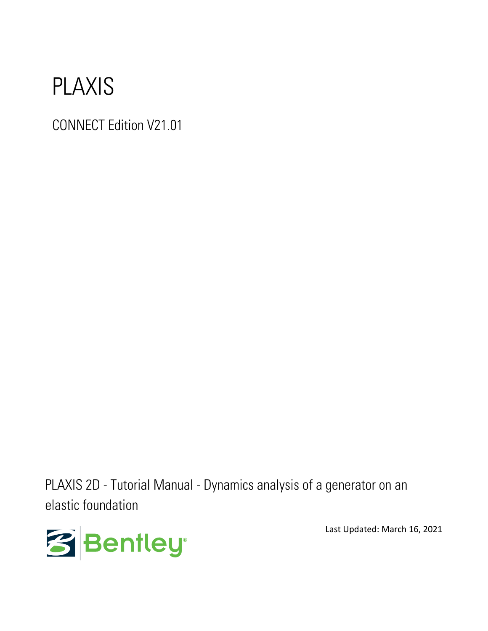## PLAXIS

CONNECT Edition V21.01

PLAXIS 2D - Tutorial Manual - Dynamics analysis of a generator on an elastic foundation



Last Updated: March 16, 2021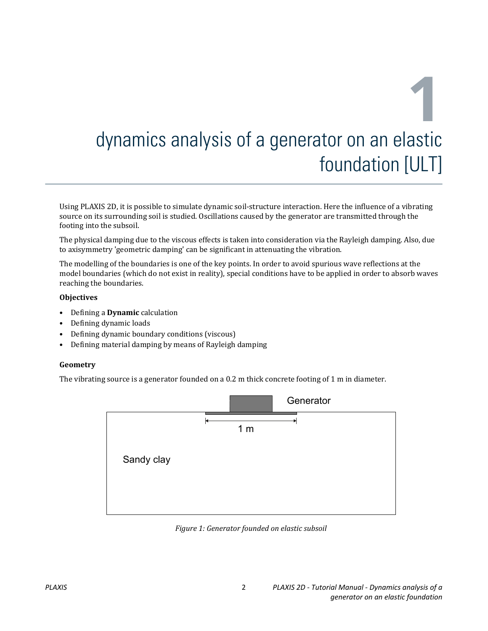Using PLAXIS 2D, it is possible to simulate dynamic soil-structure interaction. Here the influence of a vibrating source on its surrounding soil is studied. Oscillations caused by the generator are transmitted through the footing into the subsoil.

The physical damping due to the viscous effects is taken into consideration via the Rayleigh damping. Also, due to axisymmetry 'geometric damping' can be significant in attenuating the vibration.

The modelling of the boundaries is one of the key points. In order to avoid spurious wave reflections at the model boundaries (which do not exist in reality), special conditions have to be applied in order to absorb waves reaching the boundaries.

#### **Objectives**

- Defining a **Dynamic** calculation
- Defining dynamic loads
- Defining dynamic boundary conditions (viscous)
- Defining material damping by means of Rayleigh damping

#### **Geometry**

The vibrating source is a generator founded on a 0.2 m thick concrete footing of 1 m in diameter.



*Figure 1: Generator founded on elastic subsoil*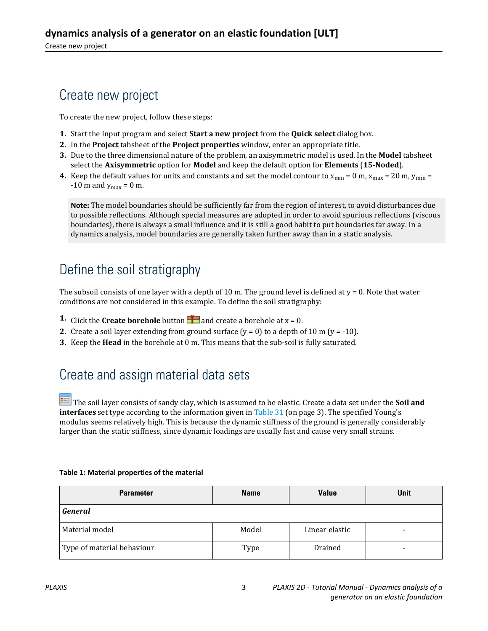## Create new project

To create the new project, follow these steps:

- **1.** Start the Input program and select **Start a new project** from the **Quick select** dialog box.
- **2.** In the **Project** tabsheet of the **Project properties** window, enter an appropriate title.
- **3.** Due to the three dimensional nature of the problem, an axisymmetric model is used. In the **Model** tabsheet select the **Axisymmetric** option for **Model** and keep the default option for **Elements** (**15-Noded**).
- **4.** Keep the default values for units and constants and set the model contour to  $x_{min} = 0$  m,  $x_{max} = 20$  m,  $y_{min} = 1$ -10 m and  $y_{\text{max}} = 0$  m.

**Note:** The model boundaries should be sufficiently far from the region of interest, to avoid disturbances due to possible reflections. Although special measures are adopted in order to avoid spurious reflections (viscous boundaries), there is always a small influence and it is still a good habit to put boundaries far away. In a dynamics analysis, model boundaries are generally taken further away than in a static analysis.

## Define the soil stratigraphy

The subsoil consists of one layer with a depth of 10 m. The ground level is defined at  $y = 0$ . Note that water conditions are not considered in this example. To define the soil stratigraphy:

- **1.** Click the **Create borehole** button **a** and create a borehole at  $x = 0$ .
- **2.** Create a soil layer extending from ground surface  $(y = 0)$  to a depth of 10 m  $(y = -10)$ .
- **3.** Keep the **Head** in the borehole at 0 m. This means that the sub-soil is fully saturated.

## Create and assign material data sets

 The soil layer consists of sandy clay, which is assumed to be elastic. Create a data set under the **Soil and interfaces** set type according to the information given in Table 31 (on page 3). The specified Young's modulus seems relatively high. This is because the dynamic stiffness of the ground is generally considerably larger than the static stiffness, since dynamic loadings are usually fast and cause very small strains.

| <b>Parameter</b>           | <b>Value</b><br><b>Name</b> |                | <b>Unit</b>              |
|----------------------------|-----------------------------|----------------|--------------------------|
| <b>General</b>             |                             |                |                          |
| Material model             | Model                       | Linear elastic | -                        |
| Type of material behaviour | Type                        | Drained        | $\overline{\phantom{0}}$ |

#### **Table 1: Material properties of the material**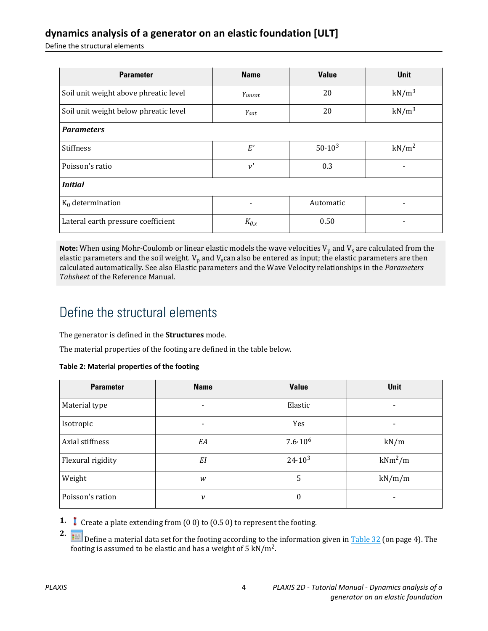Define the structural elements

| <b>Parameter</b>                      | <b>Name</b>          | <b>Value</b> | <b>Unit</b>       |  |  |  |
|---------------------------------------|----------------------|--------------|-------------------|--|--|--|
| Soil unit weight above phreatic level | Yunsat               | 20           | $kN/m^3$          |  |  |  |
| Soil unit weight below phreatic level | $\gamma_{\text sat}$ | 20           | $kN/m^3$          |  |  |  |
| <b>Parameters</b>                     |                      |              |                   |  |  |  |
| <b>Stiffness</b>                      | E'                   | $50.10^{3}$  | kN/m <sup>2</sup> |  |  |  |
| Poisson's ratio                       | $\nu'$               | 0.3          |                   |  |  |  |
| <b>Initial</b>                        |                      |              |                   |  |  |  |
| $K_0$ determination                   |                      | Automatic    |                   |  |  |  |
| Lateral earth pressure coefficient    | $K_{0,x}$            | 0.50         |                   |  |  |  |

Note: When using Mohr-Coulomb or linear elastic models the wave velocities V<sub>p</sub> and V<sub>s</sub> are calculated from the elastic parameters and the soil weight.  $V_p$  and  $V_s$ can also be entered as input; the elastic parameters are then calculated automatically. See also Elastic parameters and the Wave Velocity relationships in the *Parameters Tabsheet* of the Reference Manual.

## Define the structural elements

The generator is defined in the **Structures** mode.

The material properties of the footing are defined in the table below.

#### **Table 2: Material properties of the footing**

| <b>Parameter</b>  | <b>Name</b> | <b>Value</b>       | <b>Unit</b>              |
|-------------------|-------------|--------------------|--------------------------|
| Material type     |             | Elastic            |                          |
| Isotropic         |             | Yes                | -                        |
| Axial stiffness   | EA          | $7.6 \cdot 10^{6}$ | kN/m                     |
| Flexural rigidity | EI          | $24.10^{3}$        | $kNm^2/m$                |
| Weight            | W           | 5                  | kN/m/m                   |
| Poisson's ration  | ν           | $\boldsymbol{0}$   | $\overline{\phantom{0}}$ |

**1.** Create a plate extending from (0 0) to (0.5 0) to represent the footing.

**2.** Define a material data set for the footing according to the information given in Table 32 (on page 4). The footing is assumed to be elastic and has a weight of 5 kN/m<sup>2</sup>.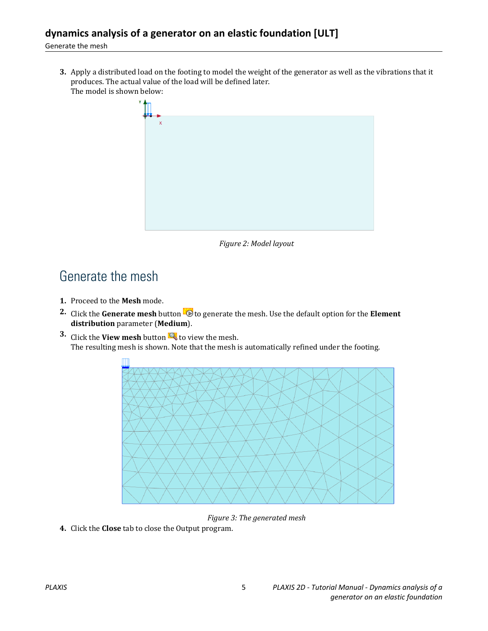#### Generate the mesh

**3.** Apply a distributed load on the footing to model the weight of the generator as well as the vibrations that it produces. The actual value of the load will be defined later. The model is shown below:



*Figure 2: Model layout*

## Generate the mesh

- **1.** Proceed to the **Mesh** mode.
- **2.** Click the **Generate mesh** button **to** to generate the mesh. Use the default option for the **Element distribution** parameter (**Medium**).
- **3.** Click the **View mesh** button **R** to view the mesh. The resulting mesh is shown. Note that the mesh is automatically refined under the footing.



*Figure 3: The generated mesh*

**4.** Click the **Close** tab to close the Output program.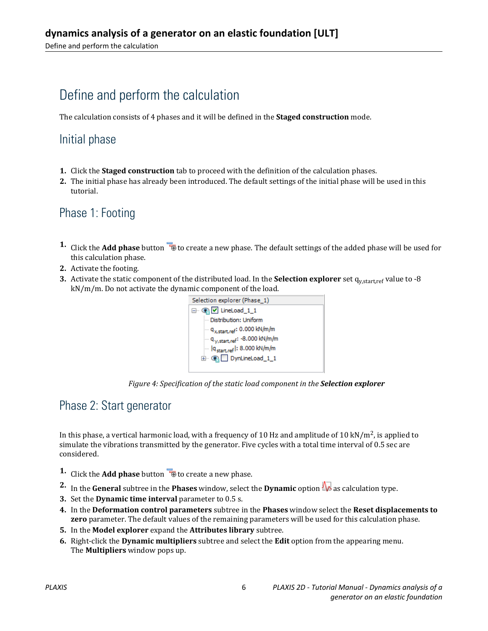## Define and perform the calculation

The calculation consists of 4 phases and it will be defined in the **Staged construction** mode.

#### Initial phase

- **1.** Click the **Staged construction** tab to proceed with the definition of the calculation phases.
- **2.** The initial phase has already been introduced. The default settings of the initial phase will be used in this tutorial.

#### Phase 1: Footing

- **1.** Click the **Add phase** button  $\overline{\mathbf{B}}$  to create a new phase. The default settings of the added phase will be used for this calculation phase.
- **2.** Activate the footing.
- **3.** Activate the static component of the distributed load. In the **Selection explorer** set  $q_{y, start, ref}$  value to -8 kN/m/m. Do not activate the dynamic component of the load.



*Figure 4: Specification of the static load component in the Selection explorer*

#### Phase 2: Start generator

In this phase, a vertical harmonic load, with a frequency of 10 Hz and amplitude of 10 kN/m<sup>2</sup>, is applied to simulate the vibrations transmitted by the generator. Five cycles with a total time interval of 0.5 sec are considered.

- **1.** Click the **Add phase** button **the create a new phase.**
- **2.** In the **General** subtree in the **Phases** window, select the **Dynamic** option  $\mathbf{w}$  as calculation type.
- **3.** Set the **Dynamic time interval** parameter to 0.5 s.
- **4.** In the **Deformation control parameters** subtree in the **Phases** window select the **Reset displacements to zero** parameter. The default values of the remaining parameters will be used for this calculation phase.
- **5.** In the **Model explorer** expand the **Attributes library** subtree.
- **6.** Right-click the **Dynamic multipliers** subtree and select the **Edit** option from the appearing menu. The **Multipliers** window pops up.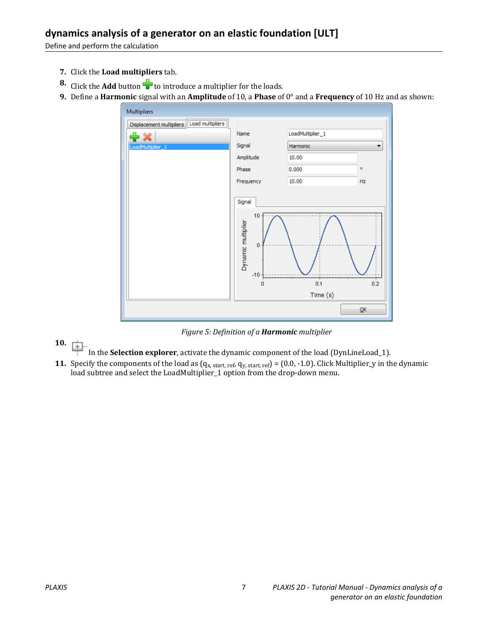Define and perform the calculation

- **7.** Click the **Load multipliers** tab.
- **8.** Click the **Add** button **the load is constrained a multiplier for the loads.**
- **9.** Define a **Harmonic** signal with an **Amplitude** of 10, a **Phase** of 0° and a **Frequency** of 10 Hz and as shown:



*Figure 5: Definition of a Harmonic multiplier*

**10.**

In the **Selection explorer**, activate the dynamic component of the load (DynLineLoad\_1).

**11.** Specify the components of the load as  $(q_{x, start, ref}, q_{y, start, ref}) = (0.0, -1.0)$ . Click Multiplier\_y in the dynamic load subtree and select the LoadMultiplier\_1 option from the drop-down menu.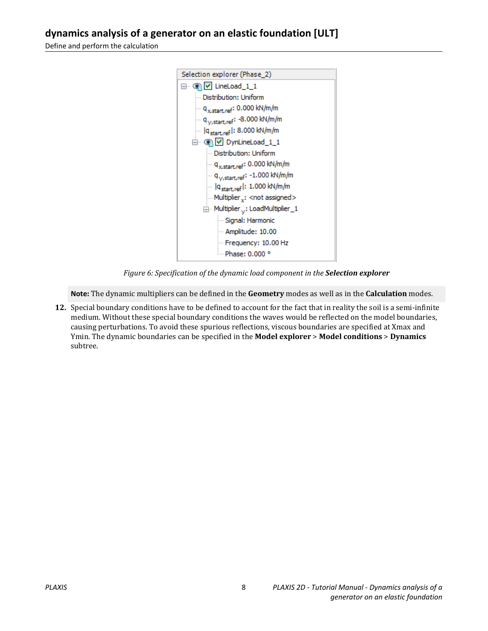Define and perform the calculation



*Figure 6: Specification of the dynamic load component in the Selection explorer*

**Note:** The dynamic multipliers can be defined in the **Geometry** modes as well as in the **Calculation** modes.

**12.** Special boundary conditions have to be defined to account for the fact that in reality the soil is a semi-infinite medium. Without these special boundary conditions the waves would be reflected on the model boundaries, causing perturbations. To avoid these spurious reflections, viscous boundaries are specified at Xmax and Ymin. The dynamic boundaries can be specified in the **Model explorer** > **Model conditions** > **Dynamics** subtree.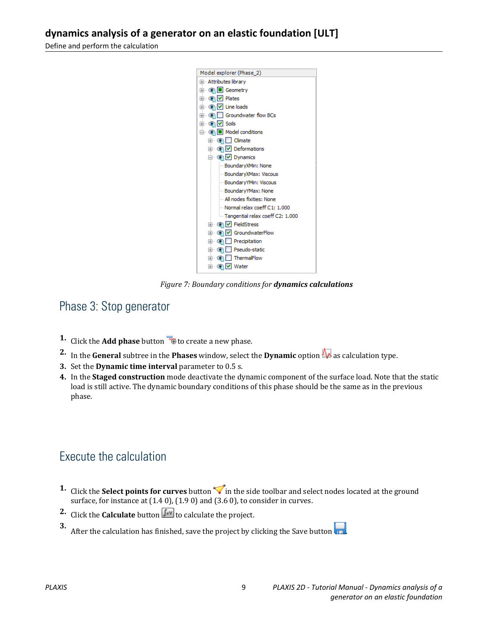Define and perform the calculation



*Figure 7: Boundary conditions for dynamics calculations*

#### Phase 3: Stop generator

- **1.** Click the **Add phase** button **the creater a new phase.**
- **2.** In the **General** subtree in the **Phases** window, select the **Dynamic** option  $\mathbf{R}$  as calculation type.
- **3.** Set the **Dynamic time interval** parameter to 0.5 s.
- **4.** In the **Staged construction** mode deactivate the dynamic component of the surface load. Note that the static load is still active. The dynamic boundary conditions of this phase should be the same as in the previous phase.

#### Execute the calculation

- **1.** Click the **Select points for curves** button in the side toolbar and select nodes located at the ground surface, for instance at  $(1.4 0)$ ,  $(1.9 0)$  and  $(3.6 0)$ , to consider in curves.
- **2.** Click the **Calculate** button  $\begin{bmatrix} \sqrt{4N} \\ 0 \end{bmatrix}$  to calculate the project.
- **3.** After the calculation has finished, save the project by clicking the Save button  $\begin{bmatrix} \bullet & \bullet \\ \bullet & \bullet \end{bmatrix}$ .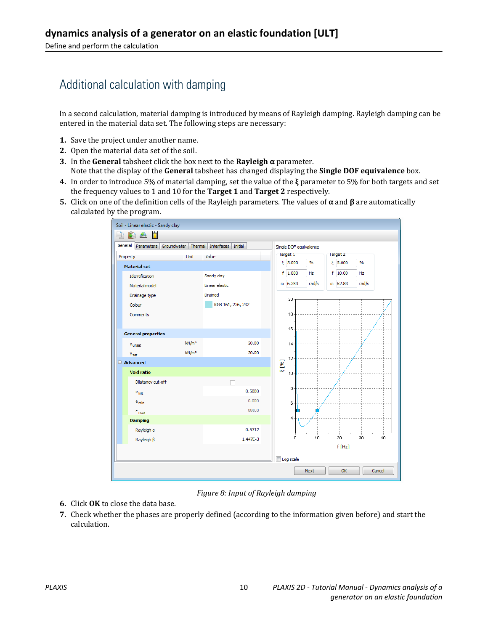### Additional calculation with damping

In a second calculation, material damping is introduced by means of Rayleigh damping. Rayleigh damping can be entered in the material data set. The following steps are necessary:

- **1.** Save the project under another name.
- **2.** Open the material data set of the soil.
- **3.** In the **General** tabsheet click the box next to the **Rayleigh α** parameter. Note that the display of the **General** tabsheet has changed displaying the **Single DOF equivalence** box.
- **4.** In order to introduce 5% of material damping, set the value of the **ξ** parameter to 5% for both targets and set the frequency values to 1 and 10 for the **Target 1** and **Target 2** respectively.
- **5.** Click on one of the definition cells of the Rayleigh parameters. The values of **α** and **β** are automatically calculated by the program.



*Figure 8: Input of Rayleigh damping*

- **6.** Click **OK** to close the data base.
- **7.** Check whether the phases are properly defined (according to the information given before) and start the calculation.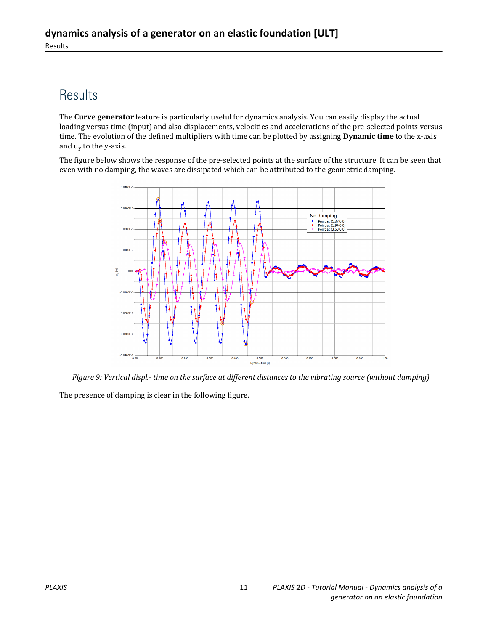## **Results**

The **Curve generator** feature is particularly useful for dynamics analysis. You can easily display the actual loading versus time (input) and also displacements, velocities and accelerations of the pre-selected points versus time. The evolution of the defined multipliers with time can be plotted by assigning **Dynamic time** to the x-axis and u<sub>y</sub> to the y-axis.

The figure below shows the response of the pre-selected points at the surface of the structure. It can be seen that even with no damping, the waves are dissipated which can be attributed to the geometric damping.



*Figure 9: Vertical displ.- time on the surface at different distances to the vibrating source (without damping)* The presence of damping is clear in the following figure.